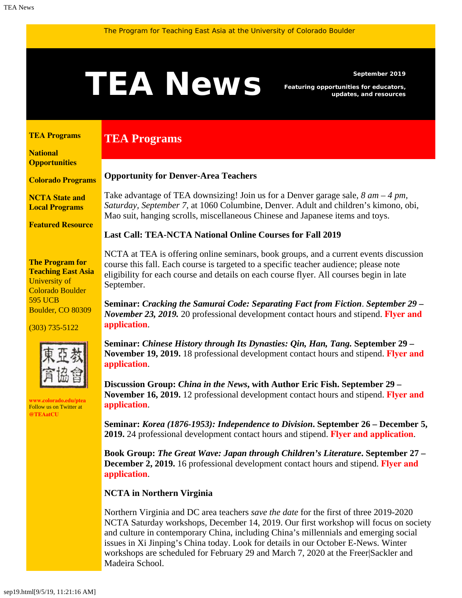# <span id="page-0-1"></span>September 2019<br>**TEAN EWS** Featuring opportunities for educators,<br>updates, and resources

*Featuring opportunities for educators, updates, and resources*

#### <span id="page-0-0"></span>**[TEA Programs](#page-0-0)**

**[National](#page-0-1)  [Opportunities](#page-0-1)**

**[Colorado Programs](#page-2-0)**

**[NCTA State and](#page-2-1) [Local Programs](#page-2-1)**

**[Featured Resource](#page-3-0)**

#### **The Program for Teaching East Asia**

University of Colorado Boulder 595 UCB Boulder, CO 80309

(303) 735-5122



**[www.colorado.edu/ptea](http://www.colorado.edu/cas/tea)** Follow us on Twitter at **[@TEAatCU](https://twitter.com/TEAatCU)**

### **Opportunity for Denver-Area Teachers**

**TEA Programs**

Take advantage of TEA downsizing! Join us for a Denver garage sale, *8 am – 4 pm, Saturday, September 7*, at 1060 Columbine, Denver. Adult and children's kimono, obi, Mao suit, hanging scrolls, miscellaneous Chinese and Japanese items and toys.

#### **Last Call: TEA-NCTA National Online Courses for Fall 2019**

NCTA at TEA is offering online seminars, book groups, and a current events discussion course this fall. Each course is targeted to a specific teacher audience; please note eligibility for each course and details on each course flyer. All courses begin in late September.

**Seminar:** *Cracking the Samurai Code: Separating Fact from Fiction*. *September 29 – November 23, 2019.* 20 professional development contact hours and stipend. **[Flyer and](https://www.colorado.edu/ptea/sites/default/files/attached-files/samurai_flyer_fall2019.pdf) [application](https://www.colorado.edu/ptea/sites/default/files/attached-files/samurai_flyer_fall2019.pdf)**.

**Seminar:** *Chinese History through Its Dynasties: Qin, Han, Tang.* **September 29 – November 19, 2019.** 18 professional development contact hours and stipend. **[Flyer and](https://www.colorado.edu/ptea/sites/default/files/attached-files/chinadynasties_flyer_fall2019.pdf) [application](https://www.colorado.edu/ptea/sites/default/files/attached-files/chinadynasties_flyer_fall2019.pdf)**.

**Discussion Group:** *China in the News***, with Author Eric Fish. September 29 – November 16, 2019.** 12 professional development contact hours and stipend. **[Flyer and](https://www.colorado.edu/ptea/sites/default/files/attached-files/china_news_fall2019.pdf) [application](https://www.colorado.edu/ptea/sites/default/files/attached-files/china_news_fall2019.pdf)**.

**Seminar:** *Korea (1876-1953): Independence to Division***. September 26 – December 5, 2019.** 24 professional development contact hours and stipend. **[Flyer and application](https://www.colorado.edu/ptea/sites/default/files/attached-files/2019koreacourseflyerf.pdf)**.

**Book Group:** *The Great Wave: Japan through Children's Literature***. September 27 – December 2, 2019.** 16 professional development contact hours and stipend. **[Flyer and](https://www.colorado.edu/ptea/sites/default/files/attached-files/fall2019jpkidlitbgflyer.pdf) [application](https://www.colorado.edu/ptea/sites/default/files/attached-files/fall2019jpkidlitbgflyer.pdf)**.

#### **NCTA in Northern Virginia**

Northern Virginia and DC area teachers *save the date* for the first of three 2019-2020 NCTA Saturday workshops, December 14, 2019. Our first workshop will focus on society and culture in contemporary China, including China's millennials and emerging social issues in Xi Jinping's China today. Look for details in our October E-News. Winter workshops are scheduled for February 29 and March 7, 2020 at the Freer|Sackler and Madeira School.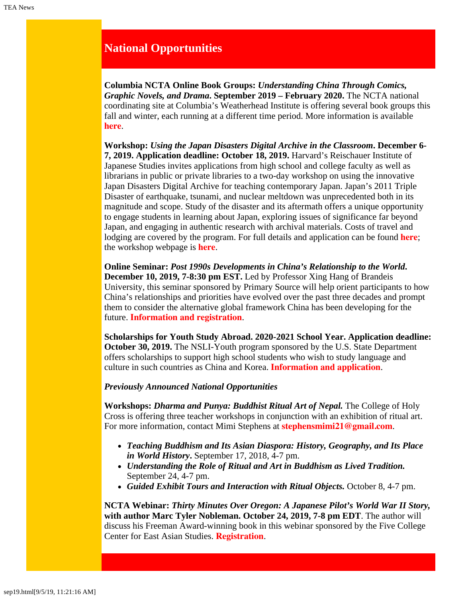## **National Opportunities**

**Columbia NCTA Online Book Groups:** *Understanding China Through Comics, Graphic Novels, and Drama***. September 2019 – February 2020.** The NCTA national coordinating site at Columbia's Weatherhead Institute is offering several book groups this fall and winter, each running at a different time period. More information is available **[here](http://afe.easia.columbia.edu/announcements/2019/BookGroupsFall19.html)**.

**Workshop:** *Using the Japan Disasters Digital Archive in the Classroom***. December 6- 7, 2019. Application deadline: October 18, 2019.** Harvard's Reischauer Institute of Japanese Studies invites applications from high school and college faculty as well as librarians in public or private libraries to a two-day workshop on using the innovative Japan Disasters Digital Archive for teaching contemporary Japan. Japan's 2011 Triple Disaster of earthquake, tsunami, and nuclear meltdown was unprecedented both in its magnitude and scope. Study of the disaster and its aftermath offers a unique opportunity to engage students in learning about Japan, exploring issues of significance far beyond Japan, and engaging in authentic research with archival materials. Costs of travel and lodging are covered by the program. For full details and application can be found **[here](https://rijs.fas.harvard.edu/sites/default/files/2019-08/Dec2019_Harvard_JapanDisastersDigitalArchive_Workshop.pdf)**; the workshop webpage is **[here](https://rijs.fas.harvard.edu/workshop-jda)**.

**Online Seminar:** *Post 1990s Developments in China's Relationship to the World***. December 10, 2019, 7-8:30 pm EST.** Led by Professor Xing Hang of Brandeis University, this seminar sponsored by Primary Source will help orient participants to how China's relationships and priorities have evolved over the past three decades and prompt them to consider the alternative global framework China has been developing for the future. **[Information and registration](https://www.primarysource.org/for-teachers/19---for-teachers---webinars---post-1990s-developments-in-chinas-relationship-to-the-world)**.

**Scholarships for Youth Study Abroad. 2020-2021 School Year. Application deadline: October 30, 2019.** The NSLI-Youth program sponsored by the U.S. State Department offers scholarships to support high school students who wish to study language and culture in such countries as China and Korea. **[Information and application](https://www.nsliforyouth.org/)**.

#### *Previously Announced National Opportunities*

**Workshops:** *Dharma and Punya: Buddhist Ritual Art of Nepal.* The College of Holy Cross is offering three teacher workshops in conjunction with an exhibition of ritual art. For more information, contact Mimi Stephens at **[stephensmimi21@gmail.com](mailto:stephensmimi21@gmail.com)**.

- *Teaching Buddhism and Its Asian Diaspora: History, Geography, and Its Place in World History***.** September 17, 2018, 4-7 pm.
- *Understanding the Role of Ritual and Art in Buddhism as Lived Tradition.* September 24, 4-7 pm.
- *Guided Exhibit Tours and Interaction with Ritual Objects.* October 8, 4-7 pm.

**NCTA Webinar:** *Thirty Minutes Over Oregon: A Japanese Pilot's World War II Story,* **with author Marc Tyler Nobleman. October 24, 2019, 7-8 pm EDT**. The author will discuss his Freeman Award-winning book in this webinar sponsored by the Five College Center for East Asian Studies. **[Registration](https://register.gotowebinar.com/register/3858272462319366402)**.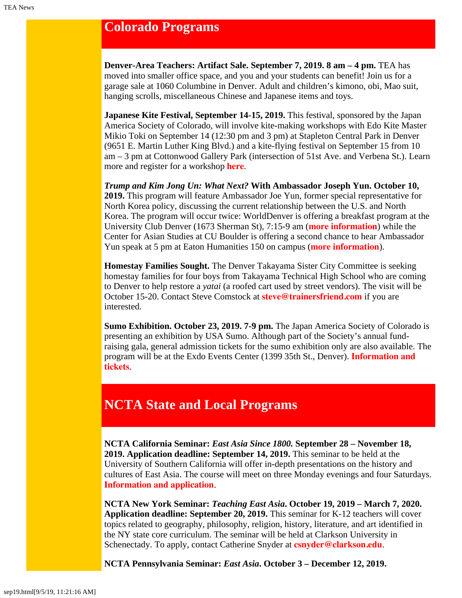# <span id="page-2-0"></span>**Colorado Programs**

**Denver-Area Teachers: Artifact Sale. September 7, 2019. 8 am – 4 pm.** TEA has moved into smaller office space, and you and your students can benefit! Join us for a garage sale at 1060 Columbine in Denver. Adult and children's kimono, obi, Mao suit, hanging scrolls, miscellaneous Chinese and Japanese items and toys.

**Japanese Kite Festival, September 14-15, 2019.** This festival, sponsored by the Japan America Society of Colorado, will involve kite-making workshops with Edo Kite Master Mikio Toki on September 14 (12:30 pm and 3 pm) at Stapleton Central Park in Denver (9651 E. Martin Luther King Blvd.) and a kite-flying festival on September 15 from 10 am – 3 pm at Cottonwood Gallery Park (intersection of 51st Ave. and Verbena St.). Learn more and register for a workshop **[here](https://www.jascolorado.org/eventsold/2019/9/14/japanese-kite-making-workshops-2-offered)**.

*Trump and Kim Jong Un: What Next?* **With Ambassador Joseph Yun. October 10, 2019.** This program will feature Ambassador Joe Yun, former special representative for North Korea policy, discussing the current relationship between the U.S. and North Korea. The program will occur twice: WorldDenver is offering a breakfast program at the University Club Denver (1673 Sherman St), 7:15-9 am (**[more information](https://worlddenver.org/meetinginfo.php?id=86&ts=1566340182)**) while the Center for Asian Studies at CU Boulder is offering a second chance to hear Ambassador Yun speak at 5 pm at Eaton Humanities 150 on campus (**[more information](https://www.colorado.edu/cas/trump-and-kim-jong-un-what-next-20191010)**).

**Homestay Families Sought.** The Denver Takayama Sister City Committee is seeking homestay families for four boys from Takayama Technical High School who are coming to Denver to help restore a *yatai* (a roofed cart used by street vendors). The visit will be October 15-20. Contact Steve Comstock at **[steve@trainersfriend.com](mailto:steve@trainersfriend.com)** if you are interested.

**Sumo Exhibition. October 23, 2019. 7-9 pm.** The Japan America Society of Colorado is presenting an exhibition by USA Sumo. Although part of the Society's annual fundraising gala, general admission tickets for the sumo exhibition only are also available. The program will be at the Exdo Events Center (1399 35th St., Denver). **[Information and](https://www.jascolorado.org/eventsold/2019/10/23/jasc-annual-gala-sumo-in-colorado) [tickets](https://www.jascolorado.org/eventsold/2019/10/23/jasc-annual-gala-sumo-in-colorado)**.

# <span id="page-2-1"></span>**NCTA State and Local Programs**

**NCTA California Seminar:** *East Asia Since 1800.* **September 28 – November 18, 2019. Application deadline: September 14, 2019.** This seminar to be held at the University of Southern California will offer in-depth presentations on the history and cultures of East Asia. The course will meet on three Monday evenings and four Saturdays. **[Information and application](https://china.usc.edu/seminars/east-asia-1800-0)**.

**NCTA New York Seminar:** *Teaching East Asia***. October 19, 2019 – March 7, 2020. Application deadline: September 20, 2019.** This seminar for K-12 teachers will cover topics related to geography, philosophy, religion, history, literature, and art identified in the NY state core curriculum. The seminar will be held at Clarkson University in Schenectady. To apply, contact Catherine Snyder at **[csnyder@clarkson.edu](mailto:csnyder@clarkson.edu)**.

**NCTA Pennsylvania Seminar:** *East Asia***. October 3 – December 12, 2019.**